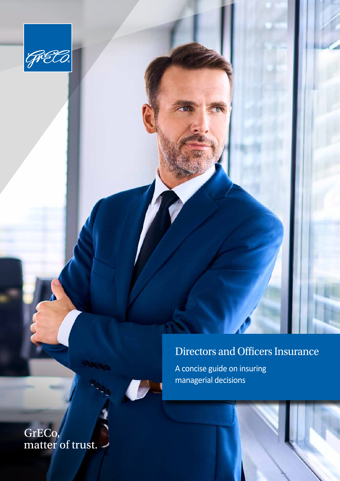

## Directors and Officers Insurance

A concise guide on insuring managerial decisions

GrECo,<br>matter of trust.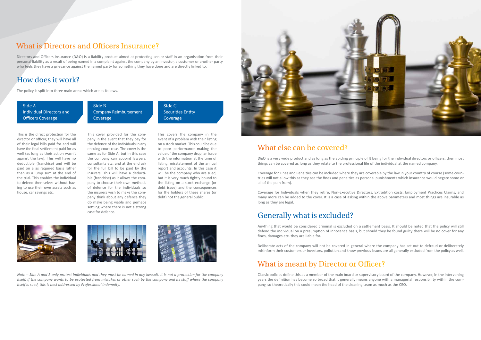Directors and Officers Insurance (D&O) is a liability product aimed at protecting senior staff in an organisation from their personal liability as a result of being named in a complaint against the company by an investor, a customer or another party who feels they have a grievance against the named party for something they have done and are directly linked to.

## How does it work?

The policy is split into three main areas which are as follows.

#### What is Directors and Officers Insurance?

This is the direct protection for the director or officer, they will have all of their legal bills paid for and will have the final settlement paid for as well (as long as their action wasn't against the law). This will have no deductible (franchise) and will be paid on a as required basis rather than as a lump sum at the end of the trial. This enables the individual to defend themselves without having to use their own assets such as house, car savings etc.

Side A Individual Directors and Officers Coverage

Side C Securities Entity **Coverage** 

This cover provided for the company in the event that they pay for the defence of the individuals in any ensuing court case. The cover is the same as for Side A, but in this case the company can appoint lawyers, consultants etc. and at the end ask for the full bill to be paid by the insurers. This will have a deductible (franchise) as it allows the company to choose their own methods of defence for the individuals so the insurers wish to make the company think about any defence they do make being viable and perhaps settling where there is not a strong case for defence.

Side B Company Reimbursement Coverage

> This covers the company in the event of a problem with their listing on a stock market. This could be due to poor performance making the value of the company drop, an issue with the information at the time of listing, misstatement of the annual report and accounts. In this case it will be the company who are sued, but it is very much tightly bound to the listing on a stock exchange (or debt issue) and the consequences for the holders of these shares (or debt) not the general public.







*Note – Side A and B only protect individuals and they must be named in any lawsuit. It is not a protection for the company itself. If the company wants to be protected from mistakes or other such by the company and its staff where the company itself is sued, this is best addressed by Professional Indemnity.*



#### What else can be covered?

D&O is a very wide product and as long as the abiding principle of It being for the individual directors or officers, then most things can be covered as long as they relate to the professional life of the individual at the named company.

Coverage for Fines and Penalties can be included where they are coverable by the law in your country of course (some countries will not allow this as they see the fines and penalties as personal punishments which insurance would negate some or all of the pain from).

Coverage for Individuals when they retire, Non-Executive Directors, Extradition costs, Employment Practices Claims, and many more can be added to the cover. It is a case of asking within the above parameters and most things are insurable as long as they are legal.

#### Generally what is excluded?

Anything that would be considered criminal is excluded on a settlement basis. It should be noted that the policy will still defend the individual on a presumption of innocence basis, but should they be found guilty there will be no cover for any fines, damages etc. they are liable for.

Deliberate acts of the company will not be covered in general where the company has set out to defraud or deliberately misinform their customers or investors, pollution and know previous issues are all generally excluded from the policy as well.

#### What is meant by Director or Officer?

Classic policies define this as a member of the main board or supervisory board of the company. However, in the intervening years the definition has become so broad that it generally means anyone with a managerial responsibility within the company, so theoretically this could mean the head of the cleaning team as much as the CEO.